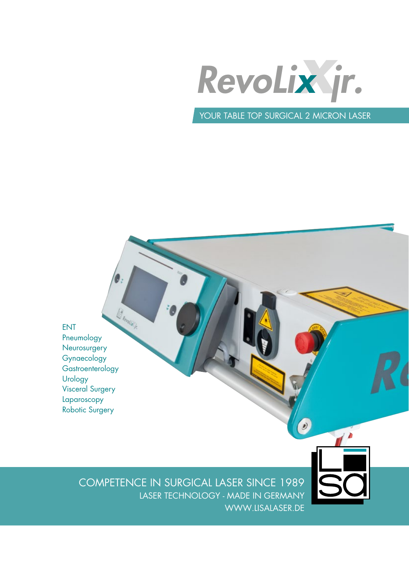

YOUR TABLE TOP SURGICAL 2 MICRON LASER

 $\bullet$ 

Bundale . ENT Pneumology **Neurosurgery** Gynaecology **Gastroenterology** Urology Visceral Surgery Laparoscopy Robotic Surgery

> COMPETENCE IN SURGICAL LASER SINCE 1989 LASER TECHNOLOGY - MADE IN GERMANY WWW.LISALASER.DE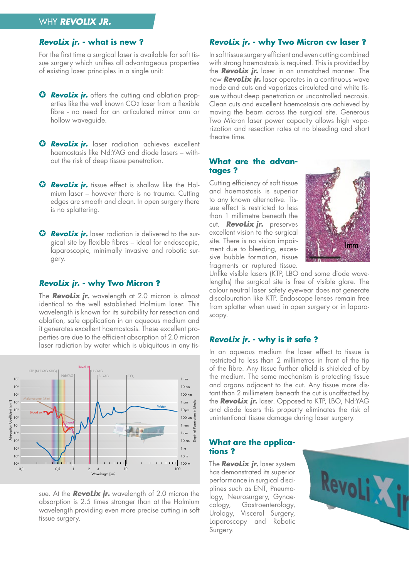# WHY **RevoLix JR.**

#### **RevoLix jr. - what is new ?**

For the first time a surgical laser is available for soft tissue surgery which unifies all advantageous properties of existing laser principles in a single unit:

- **G RevoLix jr.** offers the cutting and ablation properties like the well known CO2 laser from a flexible fibre - no need for an articulated mirror arm or hollow waveguide.
- **G RevoLix ir.** laser radiation achieves excellent haemostasis like Nd:YAG and diode lasers – without the risk of deep tissue penetration.
- **G Revolix ir.** tissue effect is shallow like the Holmium laser – however there is no trauma. Cutting edges are smooth and clean. In open surgery there is no splattering.
- **G RevoLix jr.** laser radiation is delivered to the surgical site by flexible fibres – ideal for endoscopic, laparoscopic, minimally invasive and robotic surgery.

#### **RevoLix jr. - why Two Micron ?**

The **RevoLix jr.** wavelength at 2.0 micron is almost identical to the well established Holmium laser. This wavelength is known for its suitability for resection and ablation, safe application in an aqueous medium and it generates excellent haemostasis. These excellent properties are due to the efficient absorption of 2.0 micron laser radiation by water which is ubiquitous in any tis-



sue. At the **RevoLix jr.** wavelength of 2.0 micron the absorption is 2.5 times stronger than at the Holmium wavelength providing even more precise cutting in soft tissue surgery.

## **RevoLix jr. - why Two Micron cw laser ?**

In soft tissue surgery efficient and even cutting combined with strong haemostasis is required. This is provided by the **RevoLix jr.** laser in an unmatched manner. The new **RevoLix jr.** laser operates in a continuous wave mode and cuts and vaporizes circulated and white tissue without deep penetration or uncontrolled necrosis. Clean cuts and excellent haemostasis are achieved by moving the beam across the surgical site. Generous Two Micron laser power capacity allows high vaporization and resection rates at no bleeding and short theatre time.

#### **What are the advantages ?**

Cutting efficiency of soft tissue and haemostasis is superior to any known alternative. Tissue effect is restricted to less than 1 millimetre beneath the cut. **RevoLix jr.** preserves excellent vision to the surgical site. There is no vision impairment due to bleeding, excessive bubble formation, tissue fragments or ruptured tissue.



Unlike visible lasers (KTP, LBO and some diode wavelengths) the surgical site is free of visible glare. The colour neutral laser safety eyewear does not generate discolouration like KTP. Endoscope lenses remain free from splatter when used in open surgery or in laparoscopy.

#### **RevoLix jr. - why is it safe ?**

In an aqueous medium the laser effect to tissue is restricted to less than 2 millimetres in front of the tip of the fibre. Any tissue further afield is shielded of by the medium. The same mechanism is protecting tissue and organs adjacent to the cut. Any tissue more distant than 2 millimeters beneath the cut is unaffected by the **RevoLix jr.** laser. Opposed to KTP, LBO, Nd:YAG and diode lasers this property eliminates the risk of unintentional tissue damage during laser surgery.

#### **What are the applications ?**

The **RevoLix jr.** laser system has demonstrated its superior performance in surgical disciplines such as ENT, Pneumology, Neurosurgery, Gynaecology, Gastroenterology, Urology, Visceral Surgery, Laparoscopy and Robotic Surgery.

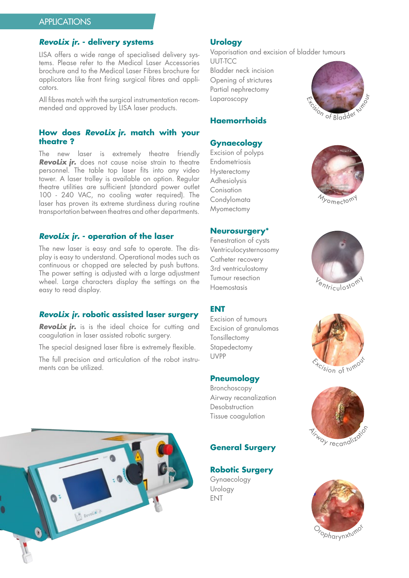# **RevoLix jr. - delivery systems**

LISA offers a wide range of specialised delivery systems. Please refer to the Medical Laser Accessories brochure and to the Medical Laser Fibres brochure for applicators like front firing surgical fibres and applicators.

All fibres match with the surgical instrumentation recommended and approved by LISA laser products.

### **How does RevoLix jr. match with your theatre ?**

The new laser is extremely theatre friendly **RevoLix jr.** does not cause noise strain to theatre personnel. The table top laser fits into any video tower. A laser trolley is available on option. Regular theatre utilities are sufficient (standard power outlet 100 - 240 VAC, no cooling water required). The laser has proven its extreme sturdiness during routine transportation between theatres and other departments.

### **RevoLix jr. - operation of the laser**

The new laser is easy and safe to operate. The display is easy to understand. Operational modes such as continuous or chopped are selected by push buttons. The power setting is adjusted with a large adjustment wheel. Large characters display the settings on the easy to read display.

### **RevoLix jr. robotic assisted laser surgery**

**RevoLix jr.** is is the ideal choice for cutting and coagulation in laser assisted robotic surgery.

The special designed laser fibre is extremely flexible.

The full precision and articulation of the robot instruments can be utilized.

# **Urology**

Vaporisation and excision of bladder tumours UUT-TCC Bladder neck incision Opening of strictures Partial nephrectomy Laparoscopy



## **Gynaecology**

Excision of polyps Endometriosis Hysterectomy Adhesiolysis Conisation **Condylomata** Myomectomy

#### **Neurosurgery\***

Fenestration of cysts Ventriculocysternosomy Catheter recovery 3rd ventriculostomy Tumour resection Haemostasis

#### **ENT**

Excision of tumours Excision of granulomas Tonsillectomy Stapedectomy UVPP

#### **Pneumology**

Bronchoscopy Airway recanalization Desobstruction Tissue coagulation

# **General Surgery**

**Robotic Surgery**

Gynaecology Urology ENT





*My*omectom